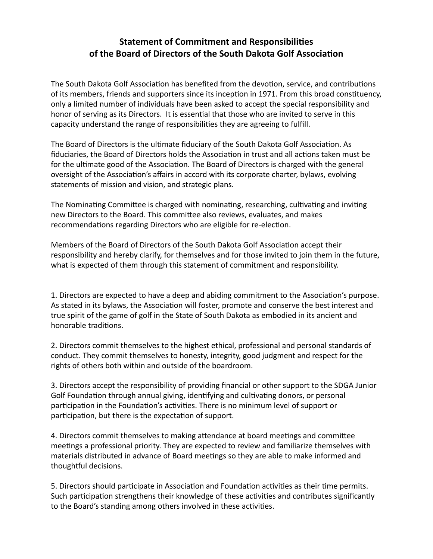## **Statement of Commitment and Responsibilies of the Board of Directors of the South Dakota Golf Associaon**

The South Dakota Golf Association has benefited from the devotion, service, and contributions of its members, friends and supporters since its inception in 1971. From this broad constituency, only a limited number of individuals have been asked to accept the special responsibility and honor of serving as its Directors. It is essential that those who are invited to serve in this capacity understand the range of responsibilities they are agreeing to fulfill.

The Board of Directors is the ultimate fiduciary of the South Dakota Golf Association. As fiduciaries, the Board of Directors holds the Association in trust and all actions taken must be for the ultimate good of the Association. The Board of Directors is charged with the general oversight of the Association's affairs in accord with its corporate charter, bylaws, evolving statements of mission and vision, and strategic plans.

The Nominating Committee is charged with nominating, researching, cultivating and inviting new Directors to the Board. This committee also reviews, evaluates, and makes recommendations regarding Directors who are eligible for re-election.

Members of the Board of Directors of the South Dakota Golf Association accept their responsibility and hereby clarify, for themselves and for those invited to join them in the future, what is expected of them through this statement of commitment and responsibility.

1. Directors are expected to have a deep and abiding commitment to the Association's purpose. As stated in its bylaws, the Association will foster, promote and conserve the best interest and true spirit of the game of golf in the State of South Dakota as embodied in its ancient and honorable traditions.

2. Directors commit themselves to the highest ethical, professional and personal standards of conduct. They commit themselves to honesty, integrity, good judgment and respect for the rights of others both within and outside of the boardroom.

3. Directors accept the responsibility of providing financial or other support to the SDGA Junior Golf Foundation through annual giving, identifying and cultivating donors, or personal participation in the Foundation's activities. There is no minimum level of support or participation, but there is the expectation of support.

4. Directors commit themselves to making attendance at board meetings and committee meetings a professional priority. They are expected to review and familiarize themselves with materials distributed in advance of Board meetings so they are able to make informed and thoughtful decisions.

5. Directors should participate in Association and Foundation activities as their time permits. Such participation strengthens their knowledge of these activities and contributes significantly to the Board's standing among others involved in these activities.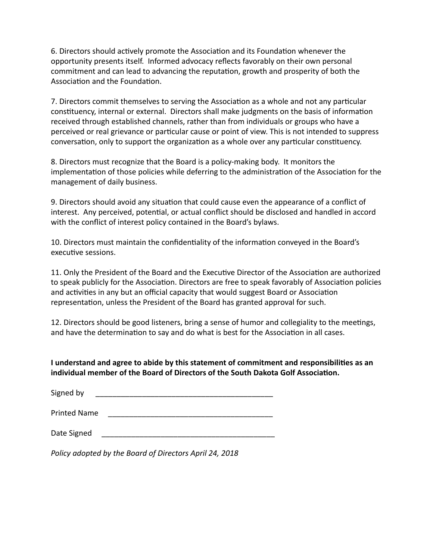6. Directors should actively promote the Association and its Foundation whenever the opportunity presents itself. Informed advocacy reflects favorably on their own personal commitment and can lead to advancing the reputation, growth and prosperity of both the Association and the Foundation.

7. Directors commit themselves to serving the Association as a whole and not any particular constituency, internal or external. Directors shall make judgments on the basis of information received through established channels, rather than from individuals or groups who have a perceived or real grievance or particular cause or point of view. This is not intended to suppress conversation, only to support the organization as a whole over any particular constituency.

8. Directors must recognize that the Board is a policy-making body. It monitors the implementation of those policies while deferring to the administration of the Association for the management of daily business.

9. Directors should avoid any situation that could cause even the appearance of a conflict of interest. Any perceived, potential, or actual conflict should be disclosed and handled in accord with the conflict of interest policy contained in the Board's bylaws.

10. Directors must maintain the confidentiality of the information conveyed in the Board's executive sessions.

11. Only the President of the Board and the Executive Director of the Association are authorized to speak publicly for the Association. Directors are free to speak favorably of Association policies and activities in any but an official capacity that would suggest Board or Association representation, unless the President of the Board has granted approval for such.

12. Directors should be good listeners, bring a sense of humor and collegiality to the meetings, and have the determination to say and do what is best for the Association in all cases.

**I understand and agree to abide by this statement of commitment and responsibilies as an** individual member of the Board of Directors of the South Dakota Golf Association.

| Signed by |
|-----------|
|-----------|

Printed Name \_\_\_\_\_\_\_\_\_\_\_\_\_\_\_\_\_\_\_\_\_\_\_\_\_\_\_\_\_\_\_\_\_\_\_\_\_\_\_

Date Signed

*Policy adopted by the Board of Directors April 24, 2018*